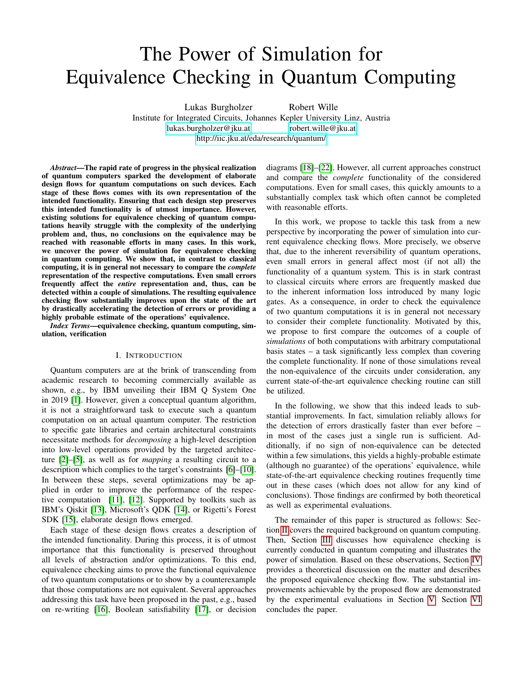# The Power of Simulation for Equivalence Checking in Quantum Computing

Lukas Burgholzer Robert Wille Institute for Integrated Circuits, Johannes Kepler University Linz, Austria [lukas.burgholzer@jku.at](mailto:lukas.burgholzer@jku.at) [robert.wille@jku.at](mailto:robert.wille@jku.at) <http://iic.jku.at/eda/research/quantum/>

*Abstract*—The rapid rate of progress in the physical realization of quantum computers sparked the development of elaborate design flows for quantum computations on such devices. Each stage of these flows comes with its own representation of the intended functionality. Ensuring that each design step preserves this intended functionality is of utmost importance. However, existing solutions for equivalence checking of quantum computations heavily struggle with the complexity of the underlying problem and, thus, no conclusions on the equivalence may be reached with reasonable efforts in many cases. In this work, we uncover the power of simulation for equivalence checking in quantum computing. We show that, in contrast to classical computing, it is in general not necessary to compare the *complete* representation of the respective computations. Even small errors frequently affect the *entire* representation and, thus, can be detected within a couple of simulations. The resulting equivalence checking flow substantially improves upon the state of the art by drastically accelerating the detection of errors or providing a highly probable estimate of the operations' equivalence.

*Index Terms*—equivalence checking, quantum computing, simulation, verification

#### I. INTRODUCTION

Quantum computers are at the brink of transcending from academic research to becoming commercially available as shown, e.g., by IBM unveiling their IBM Q System One in 2019 [\[1\]](#page-5-0). However, given a conceptual quantum algorithm, it is not a straightforward task to execute such a quantum computation on an actual quantum computer. The restriction to specific gate libraries and certain architectural constraints necessitate methods for *decomposing* a high-level description into low-level operations provided by the targeted architecture [\[2\]](#page-5-1)–[\[5\]](#page-5-2), as well as for *mapping* a resulting circuit to a description which complies to the target's constraints [\[6\]](#page-5-3)–[\[10\]](#page-5-4). In between these steps, several optimizations may be applied in order to improve the performance of the respective computation [\[11\]](#page-5-5), [\[12\]](#page-5-6). Supported by toolkits such as IBM's Qiskit [\[13\]](#page-5-7), Microsoft's QDK [\[14\]](#page-5-8), or Rigetti's Forest SDK [\[15\]](#page-5-9), elaborate design flows emerged.

Each stage of these design flows creates a description of the intended functionality. During this process, it is of utmost importance that this functionality is preserved throughout all levels of abstraction and/or optimizations. To this end, equivalence checking aims to prove the functional equivalence of two quantum computations or to show by a counterexample that those computations are not equivalent. Several approaches addressing this task have been proposed in the past, e.g., based on re-writing [\[16\]](#page-5-10), Boolean satisfiability [\[17\]](#page-5-11), or decision

diagrams [\[18\]](#page-5-12)–[\[22\]](#page-5-13). However, all current approaches construct and compare the *complete* functionality of the considered computations. Even for small cases, this quickly amounts to a substantially complex task which often cannot be completed with reasonable efforts.

In this work, we propose to tackle this task from a new perspective by incorporating the power of simulation into current equivalence checking flows. More precisely, we observe that, due to the inherent reversibility of quantum operations, even small errors in general affect most (if not all) the functionality of a quantum system. This is in stark contrast to classical circuits where errors are frequently masked due to the inherent information loss introduced by many logic gates. As a consequence, in order to check the equivalence of two quantum computations it is in general not necessary to consider their complete functionality. Motivated by this, we propose to first compare the outcomes of a couple of *simulations* of both computations with arbitrary computational basis states – a task significantly less complex than covering the complete functionality. If none of those simulations reveal the non-equivalence of the circuits under consideration, any current state-of-the-art equivalence checking routine can still be utilized.

In the following, we show that this indeed leads to substantial improvements. In fact, simulation reliably allows for the detection of errors drastically faster than ever before – in most of the cases just a single run is sufficient. Additionally, if no sign of non-equivalence can be detected within a few simulations, this yields a highly-probable estimate (although no guarantee) of the operations' equivalence, while state-of-the-art equivalence checking routines frequently time out in these cases (which does not allow for any kind of conclusions). Those findings are confirmed by both theoretical as well as experimental evaluations.

The remainder of this paper is structured as follows: Section [II](#page-1-0) covers the required background on quantum computing. Then, Section [III](#page-2-0) discusses how equivalence checking is currently conducted in quantum computing and illustrates the power of simulation. Based on these observations, Section [IV](#page-3-0) provides a theoretical discussion on the matter and describes the proposed equivalence checking flow. The substantial improvements achievable by the proposed flow are demonstrated by the experimental evaluations in Section [V.](#page-4-0) Section [VI](#page-5-14) concludes the paper.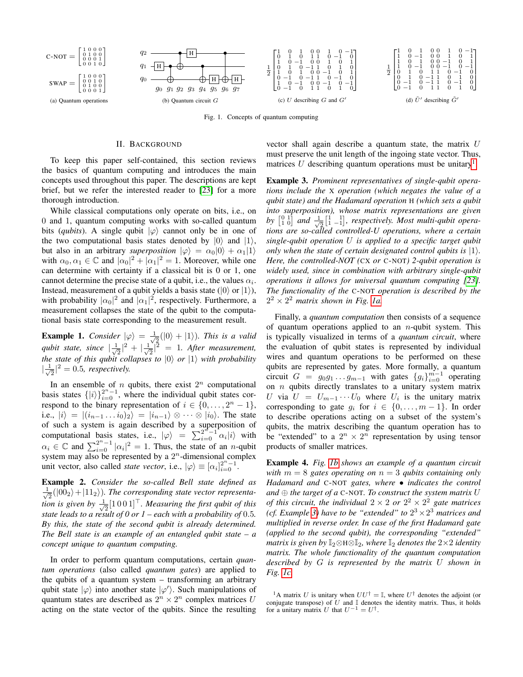<span id="page-1-2"></span>

Fig. 1. Concepts of quantum computing

#### II. BACKGROUND

<span id="page-1-0"></span>To keep this paper self-contained, this section reviews the basics of quantum computing and introduces the main concepts used throughout this paper. The descriptions are kept brief, but we refer the interested reader to [\[23\]](#page-5-15) for a more thorough introduction.

While classical computations only operate on bits, i.e., on 0 and 1, quantum computing works with so-called quantum bits (*qubits*). A single qubit  $|\varphi\rangle$  cannot only be in one of the two computational basis states denoted by  $|0\rangle$  and  $|1\rangle$ , but also in an arbitrary *superposition*  $|\varphi\rangle = \alpha_0|0\rangle + \alpha_1|1\rangle$ with  $\alpha_0, \alpha_1 \in \mathbb{C}$  and  $|\alpha_0|^2 + |\alpha_1|^2 = 1$ . Moreover, while one can determine with certainty if a classical bit is 0 or 1, one cannot determine the precise state of a qubit, i.e., the values  $\alpha_i$ . Instead, measurement of a qubit yields a basis state ( $|0\rangle$  or  $|1\rangle$ ), with probability  $|\alpha_0|^2$  and  $|\alpha_1|^2$ , respectively. Furthermore, a measurement collapses the state of the qubit to the computational basis state corresponding to the measurement result.

**Example 1.** *Consider*  $|\varphi\rangle = \frac{1}{\sqrt{2}}$  $\frac{1}{2}(|0\rangle + |1\rangle)$ . This is a valid *qubit state, since*  $\frac{1}{\sqrt{2}}$  $\frac{1}{2}|^{2} + |\frac{1}{\sqrt{2}}$  $\frac{1}{2}|^2 = 1$ . After measurement, *the state of this qubit collapses to*  $|0\rangle$  *or*  $|1\rangle$  *with probability*  $\frac{1}{2}$  $\frac{1}{2}$ <sup>2</sup> = 0.5*, respectively.* 

In an ensemble of  $n$  qubits, there exist  $2^n$  computational basis states  $\{|i\rangle\}_{i=0}^{2^n-1}$ , where the individual qubit states correspond to the binary representation of  $i \in \{0, \ldots, 2^n - 1\},$ i.e.,  $|i\rangle = |(i_{n-1} \dots i_0)_2\rangle = |i_{n-1}\rangle \otimes \cdots \otimes |i_0\rangle$ . The state of such a system is again described by a superposition of computational basis states, i.e.,  $|\varphi\rangle = \sum_{i=0}^{2^{n}-1} \alpha_i |i\rangle$  with  $\alpha_i \in \mathbb{C}$  and  $\sum_{i=0}^{2^n-1} |\alpha_i|^2 = 1$ . Thus, the state of an *n*-qubit system may also be represented by a  $2^n$ -dimensional complex unit vector, also called *state vector*, i.e.,  $|\varphi\rangle \equiv [\alpha_i]_{i=0}^{2^n - 1}$ .

Example 2. *Consider the so-called Bell state defined as*  $\frac{1}{\sqrt{2}}$  $\frac{1}{2}(|00_2\rangle+|11_2\rangle)$ *. The corresponding state vector representation is given by*  $\frac{1}{\sqrt{2}}$  $\mathbb{E}[\left[1\,0\,0\,1\right]^{\top}$ *. Measuring the first qubit of this state leads to a result of 0 or 1 – each with a probability of* 0.5*. By this, the state of the second qubit is already determined. The Bell state is an example of an entangled qubit state – a concept unique to quantum computing.*

In order to perform quantum computations, certain *quantum operations* (also called *quantum gates*) are applied to the qubits of a quantum system – transforming an arbitrary qubit state  $|\varphi\rangle$  into another state  $|\varphi'\rangle$ . Such manipulations of quantum states are described as  $2^n \times 2^n$  complex matrices U acting on the state vector of the qubits. Since the resulting vector shall again describe a quantum state, the matrix U must preserve the unit length of the ingoing state vector. Thus, matrices U describing quantum operations must be unitary<sup>[1](#page-1-1)</sup>.

<span id="page-1-3"></span>Example 3. *Prominent representatives of single-qubit operations include the* X *operation (which negates the value of a qubit state) and the Hadamard operation* H *(which sets a qubit into superposition), whose matrix representations are given by*  $\begin{bmatrix} 0 & 1 \\ 1 & 0 \end{bmatrix}$  *and*  $\frac{1}{\sqrt{2}}$  $\frac{1}{2}$  $\begin{bmatrix} 1 & 1 \\ 1 & -1 \end{bmatrix}$ , respectively. Most multi-qubit opera*tions are so-called controlled-U operations, where a certain single-qubit operation* U *is applied to a specific target qubit only when the state of certain designated control qubits is*  $|1\rangle$ *. Here, the controlled-NOT (*CX *or* C-NOT*) 2-qubit operation is widely used, since in combination with arbitrary single-qubit operations it allows for universal quantum computing [\[23\]](#page-5-15). The functionality of the* C-NOT *operation is described by the*  $2^2 \times 2^2$  matrix shown in Fig. [1a.](#page-1-2)

Finally, a *quantum computation* then consists of a sequence of quantum operations applied to an *n*-qubit system. This is typically visualized in terms of a *quantum circuit*, where the evaluation of qubit states is represented by individual wires and quantum operations to be performed on these qubits are represented by gates. More formally, a quantum circuit  $G = g_0 g_1 \dots g_{m-1}$  with gates  $\{g_i\}_{i=0}^{m-1}$  operating on  $n$  qubits directly translates to a unitary system matrix U via  $U = U_{m-1} \cdots U_0$  where  $U_i$  is the unitary matrix corresponding to gate  $g_i$  for  $i \in \{0, \ldots, m-1\}$ . In order to describe operations acting on a subset of the system's qubits, the matrix describing the quantum operation has to be "extended" to a  $2^n \times 2^n$  representation by using tensor products of smaller matrices.

Example 4. *Fig. [1b](#page-1-2) shows an example of a quantum circuit with*  $m = 8$  *gates operating on*  $n = 3$  *qubits containing only Hadamard and* C-NOT *gates, where* • *indicates the control* and  $\oplus$  *the target of a* C-NOT. To construct the system matrix U *of this circuit, the individual*  $2 \times 2$  *or*  $2^2 \times 2^2$  gate matrices (*cf. Example* [3\)](#page-1-3) have to be "extended" to  $2^3 \times 2^3$  matrices and *multiplied in reverse order. In case of the first Hadamard gate (applied to the second qubit), the corresponding "extended" matrix is given by* I2⊗H⊗I2*, where* I<sup>2</sup> *denotes the* 2×2 *identity matrix. The whole functionality of the quantum computation described by* G *is represented by the matrix* U *shown in Fig. [1c.](#page-1-2)*

<span id="page-1-1"></span><sup>&</sup>lt;sup>1</sup>A matrix U is unitary when  $UU^{\dagger} = \mathbb{I}$ , where  $U^{\dagger}$  denotes the adjoint (or conjugate transpose) of  $U$  and  $\mathbb I$  denotes the identity matrix. Thus, it holds for a unitary matrix U that  $U^{-1} = U^{\dagger}$ .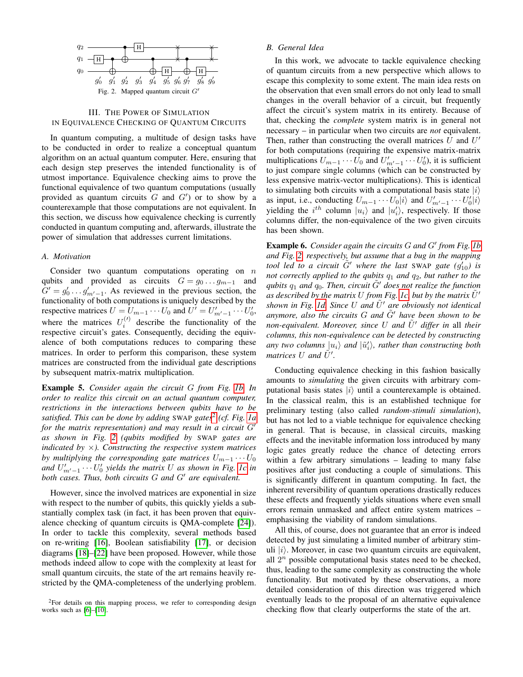<span id="page-2-2"></span>

## <span id="page-2-0"></span>III. THE POWER OF SIMULATION IN EQUIVALENCE CHECKING OF QUANTUM CIRCUITS

In quantum computing, a multitude of design tasks have to be conducted in order to realize a conceptual quantum algorithm on an actual quantum computer. Here, ensuring that each design step preserves the intended functionality is of utmost importance. Equivalence checking aims to prove the functional equivalence of two quantum computations (usually provided as quantum circuits  $G$  and  $G'$ ) or to show by a counterexample that those computations are not equivalent. In this section, we discuss how equivalence checking is currently conducted in quantum computing and, afterwards, illustrate the power of simulation that addresses current limitations.

#### <span id="page-2-3"></span>*A. Motivation*

Consider two quantum computations operating on  $n$ qubits and provided as circuits  $G = g_0 \dots g_{m-1}$  and  $G' = g'_0 \dots g'_{m'-1}$ . As reviewed in the previous section, the functionality of both computations is uniquely described by the respective matrices  $U = U_{m-1} \cdots U_0$  and  $U' = U'_{m'-1} \cdots U'_0$ , where the matrices  $U_i^{(l)}$  describe the functionality of the respective circuit's gates. Consequently, deciding the equivalence of both computations reduces to comparing these matrices. In order to perform this comparison, these system matrices are constructed from the individual gate descriptions by subsequent matrix-matrix multiplication.

Example 5. *Consider again the circuit* G *from Fig. [1b.](#page-1-2) In order to realize this circuit on an actual quantum computer, restrictions in the interactions between qubits have to be satisfied. This can be done by adding* SWAP *gates*[2](#page-2-1) *(cf. Fig. [1a](#page-1-2) for the matrix representation) and may result in a circuit*  $G'$ *as shown in Fig. [2](#page-2-2) (qubits modified by* SWAP *gates are indicated by* ×*). Constructing the respective system matrices by multiplying the corresponding gate matrices*  $U_{m-1}\cdots U_0$ *and*  $U'_{m'-1} \cdots U'_{0}$  yields the matrix U as shown in Fig. [1c](#page-1-2) in *both cases. Thus, both circuits* G and G' are equivalent.

However, since the involved matrices are exponential in size with respect to the number of qubits, this quickly yields a substantially complex task (in fact, it has been proven that equivalence checking of quantum circuits is QMA-complete [\[24\]](#page-5-16)). In order to tackle this complexity, several methods based on re-writing [\[16\]](#page-5-10), Boolean satisfiability [\[17\]](#page-5-11), or decision diagrams [\[18\]](#page-5-12)–[\[22\]](#page-5-13) have been proposed. However, while those methods indeed allow to cope with the complexity at least for small quantum circuits, the state of the art remains heavily restricted by the QMA-completeness of the underlying problem.

## <span id="page-2-4"></span>*B. General Idea*

In this work, we advocate to tackle equivalence checking of quantum circuits from a new perspective which allows to escape this complexity to some extent. The main idea rests on the observation that even small errors do not only lead to small changes in the overall behavior of a circuit, but frequently affect the circuit's system matrix in its entirety. Because of that, checking the *complete* system matrix is in general not necessary – in particular when two circuits are *not* equivalent. Then, rather than constructing the overall matrices  $U$  and  $U'$ for both computations (requiring the expensive matrix-matrix multiplications  $U_{m-1} \cdots U_0$  and  $U'_{m'-1} \cdots U'_0$ ), it is sufficient to just compare single columns (which can be constructed by less expensive matrix-vector multiplications). This is identical to simulating both circuits with a computational basis state  $|i\rangle$ as input, i.e., conducting  $U_{m-1} \cdots U_0 |i\rangle$  and  $U'_{m'-1} \cdots U'_0 |i\rangle$ yielding the  $i^{th}$  column  $|u_i\rangle$  and  $|u'_i\rangle$ , respectively. If those columns differ, the non-equivalence of the two given circuits has been shown.

**Example 6.** Consider again the circuits G and G' from Fig. [1b](#page-1-2) *and Fig. [2,](#page-2-2) respectively, but assume that a bug in the mapping tool led to a circuit*  $\tilde{G}'$  *where the last* SWAP *gate*  $(g'_{10})$  *is not correctly applied to the qubits*  $q_1$  *and*  $q_2$ *, but rather to the qubits*  $q_1$  *and*  $q_0$ *. Then, circuit*  $\tilde{G}'$  *does not realize the function* as described by the matrix U from Fig. [1c,](#page-1-2) but by the matrix  $\tilde{U}'$ *shown in Fig. [1d.](#page-1-2) Since* U and  $\tilde{U}'$  are obviously not identical anymore, also the circuits  $G$  and  $\tilde{G}'$  have been shown to be *non-equivalent. Moreover, since*  $U$  *and*  $\tilde{U}'$  *differ in* all *their columns, this non-equivalence can be detected by constructing* any two columns  $|u_i\rangle$  and  $|\tilde{u}'_i\rangle$ , rather than constructing both *matrices*  $U$  and  $\tilde{U}'$ .

Conducting equivalence checking in this fashion basically amounts to *simulating* the given circuits with arbitrary computational basis states  $|i\rangle$  until a counterexample is obtained. In the classical realm, this is an established technique for preliminary testing (also called *random-stimuli simulation*), but has not led to a viable technique for equivalence checking in general. That is because, in classical circuits, masking effects and the inevitable information loss introduced by many logic gates greatly reduce the chance of detecting errors within a few arbitrary simulations – leading to many false positives after just conducting a couple of simulations. This is significantly different in quantum computing. In fact, the inherent reversibility of quantum operations drastically reduces these effects and frequently yields situations where even small errors remain unmasked and affect entire system matrices – emphasising the viability of random simulations.

All this, of course, does not guarantee that an error is indeed detected by just simulating a limited number of arbitrary stimuli  $|i\rangle$ . Moreover, in case two quantum circuits are equivalent, all  $2^n$  possible computational basis states need to be checked, thus, leading to the same complexity as constructing the whole functionality. But motivated by these observations, a more detailed consideration of this direction was triggered which eventually leads to the proposal of an alternative equivalence checking flow that clearly outperforms the state of the art.

<span id="page-2-1"></span><sup>&</sup>lt;sup>2</sup>For details on this mapping process, we refer to corresponding design works such as [\[6\]](#page-5-3)–[\[10\]](#page-5-4).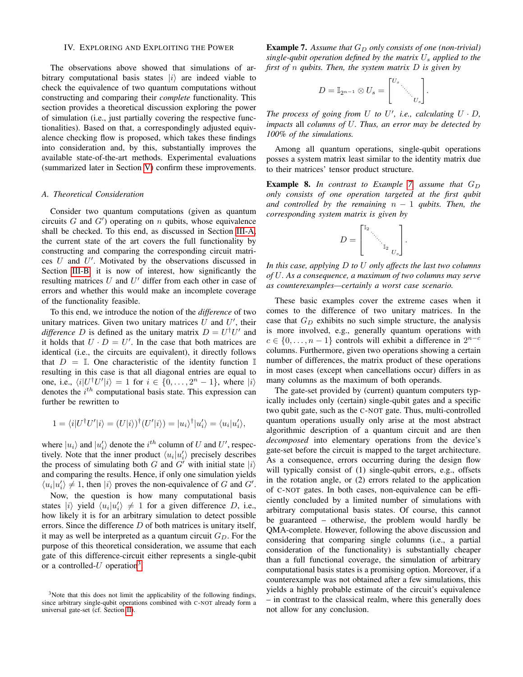#### <span id="page-3-0"></span>IV. EXPLORING AND EXPLOITING THE POWER

The observations above showed that simulations of arbitrary computational basis states  $|i\rangle$  are indeed viable to check the equivalence of two quantum computations without constructing and comparing their *complete* functionality. This section provides a theoretical discussion exploring the power of simulation (i.e., just partially covering the respective functionalities). Based on that, a correspondingly adjusted equivalence checking flow is proposed, which takes these findings into consideration and, by this, substantially improves the available state-of-the-art methods. Experimental evaluations (summarized later in Section [V\)](#page-4-0) confirm these improvements.

#### <span id="page-3-3"></span>*A. Theoretical Consideration*

Consider two quantum computations (given as quantum circuits  $G$  and  $G'$ ) operating on  $n$  qubits, whose equivalence shall be checked. To this end, as discussed in Section [III-A,](#page-2-3) the current state of the art covers the full functionality by constructing and comparing the corresponding circuit matrices  $U$  and  $U'$ . Motivated by the observations discussed in Section [III-B,](#page-2-4) it is now of interest, how significantly the resulting matrices  $U$  and  $U'$  differ from each other in case of errors and whether this would make an incomplete coverage of the functionality feasible.

To this end, we introduce the notion of the *difference* of two unitary matrices. Given two unitary matrices  $U$  and  $U'$ , their *difference* D is defined as the unitary matrix  $D = U^{\dagger}U'$  and it holds that  $U \cdot D = U'$ . In the case that both matrices are identical (i.e., the circuits are equivalent), it directly follows that  $D = \mathbb{I}$ . One characteristic of the identity function  $\mathbb{I}$ resulting in this case is that all diagonal entries are equal to one, i.e.,  $\langle i|U^{\dagger}U'|i\rangle = 1$  for  $i \in \{0, \ldots, 2^n - 1\}$ , where  $|i\rangle$ denotes the  $i^{th}$  computational basis state. This expression can further be rewritten to

$$
1 = \langle i|U^{\dagger}U'|i\rangle = (U|i\rangle)^{\dagger}(U'|i\rangle) = |u_i\rangle^{\dagger}|u_i'\rangle = \langle u_i|u_i'\rangle,
$$

where  $|u_i\rangle$  and  $|u'_i\rangle$  denote the  $i^{th}$  column of U and U', respectively. Note that the inner product  $\langle u_i | u'_i \rangle$  precisely describes the process of simulating both G and G' with initial state  $|i\rangle$ and comparing the results. Hence, if only one simulation yields  $\langle u_i | u'_i \rangle \neq 1$ , then  $|i\rangle$  proves the non-equivalence of G and G'.

Now, the question is how many computational basis states  $|i\rangle$  yield  $\langle u_i | u'_i \rangle \neq 1$  for a given difference D, i.e., how likely it is for an arbitrary simulation to detect possible errors. Since the difference  $D$  of both matrices is unitary itself, it may as well be interpreted as a quantum circuit  $G<sub>D</sub>$ . For the purpose of this theoretical consideration, we assume that each gate of this difference-circuit either represents a single-qubit or a controlled- $U$  operation<sup>[3](#page-3-1)</sup>.

<span id="page-3-2"></span>**Example 7.** Assume that  $G_D$  only consists of one (non-trivial) *single-qubit operation defined by the matrix* U<sup>s</sup> *applied to the first of* n *qubits. Then, the system matrix* D *is given by*

$$
D=\mathbb{I}_{2^{n-1}}\otimes U_s=\begin{bmatrix}U_s&\\&\ddots&\\&&U_s\end{bmatrix}.
$$

The process of going from  $U$  to  $U'$ , i.e., calculating  $U \cdot D$ , *impacts* all *columns of* U*. Thus, an error may be detected by 100% of the simulations.*

Among all quantum operations, single-qubit operations posses a system matrix least similar to the identity matrix due to their matrices' tensor product structure.

**Example 8.** In contrast to Example [7,](#page-3-2) assume that  $G_D$ *only consists of one operation targeted at the first qubit and controlled by the remaining*  $n - 1$  *qubits. Then, the corresponding system matrix is given by*

$$
D=\left[\begin{smallmatrix}\mathbb{I}_2 & & & \\ & \ddots & & \\ & & \mathbb{I}_2 & \\ & & & U_s\end{smallmatrix}\right].
$$

*In this case, applying* D *to* U *only affects the last two columns of* U*. As a consequence, a maximum of two columns may serve as counterexamples—certainly a worst case scenario.*

These basic examples cover the extreme cases when it comes to the difference of two unitary matrices. In the case that  $G_D$  exhibits no such simple structure, the analysis is more involved, e.g., generally quantum operations with  $c \in \{0, \ldots, n-1\}$  controls will exhibit a difference in  $2^{n-c}$ columns. Furthermore, given two operations showing a certain number of differences, the matrix product of these operations in most cases (except when cancellations occur) differs in as many columns as the maximum of both operands.

The gate-set provided by (current) quantum computers typically includes only (certain) single-qubit gates and a specific two qubit gate, such as the C-NOT gate. Thus, multi-controlled quantum operations usually only arise at the most abstract algorithmic description of a quantum circuit and are then *decomposed* into elementary operations from the device's gate-set before the circuit is mapped to the target architecture. As a consequence, errors occurring during the design flow will typically consist of (1) single-qubit errors, e.g., offsets in the rotation angle, or (2) errors related to the application of C-NOT gates. In both cases, non-equivalence can be efficiently concluded by a limited number of simulations with arbitrary computational basis states. Of course, this cannot be guaranteed – otherwise, the problem would hardly be QMA-complete. However, following the above discussion and considering that comparing single columns (i.e., a partial consideration of the functionality) is substantially cheaper than a full functional coverage, the simulation of arbitrary computational basis states is a promising option. Moreover, if a counterexample was not obtained after a few simulations, this yields a highly probable estimate of the circuit's equivalence – in contrast to the classical realm, where this generally does not allow for any conclusion.

<span id="page-3-1"></span><sup>&</sup>lt;sup>3</sup>Note that this does not limit the applicability of the following findings, since arbitrary single-qubit operations combined with C-NOT already form a universal gate-set (cf. Section [II\)](#page-1-0).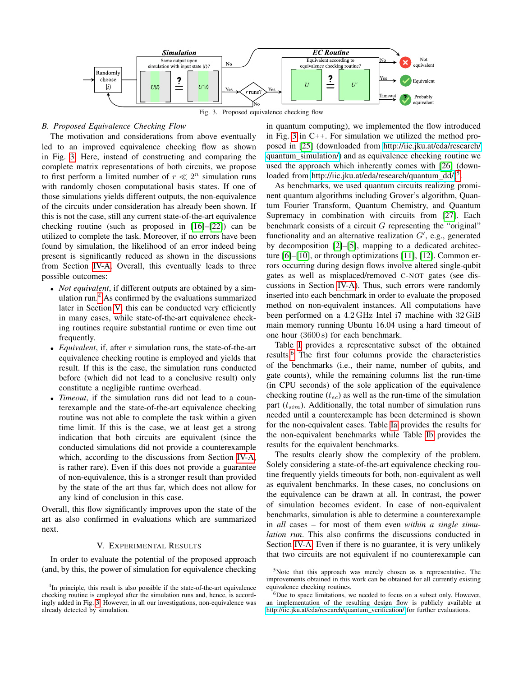<span id="page-4-1"></span>

Fig. 3. Proposed equivalence checking flow

# *B. Proposed Equivalence Checking Flow*

The motivation and considerations from above eventually led to an improved equivalence checking flow as shown in Fig. [3.](#page-4-1) Here, instead of constructing and comparing the complete matrix representations of both circuits, we propose to first perform a limited number of  $r \ll 2^n$  simulation runs with randomly chosen computational basis states. If one of those simulations yields different outputs, the non-equivalence of the circuits under consideration has already been shown. If this is not the case, still any current state-of-the-art equivalence checking routine (such as proposed in [\[16\]](#page-5-10)–[\[22\]](#page-5-13)) can be utilized to complete the task. Moreover, if no errors have been found by simulation, the likelihood of an error indeed being present is significantly reduced as shown in the discussions from Section [IV-A.](#page-3-3) Overall, this eventually leads to three possible outcomes:

- *Not equivalent*, if different outputs are obtained by a simulation run. $4$  As confirmed by the evaluations summarized later in Section [V,](#page-4-0) this can be conducted very efficiently in many cases, while state-of-the-art equivalence checking routines require substantial runtime or even time out frequently.
- *Equivalent*, if, after r simulation runs, the state-of-the-art equivalence checking routine is employed and yields that result. If this is the case, the simulation runs conducted before (which did not lead to a conclusive result) only constitute a negligible runtime overhead.
- *Timeout*, if the simulation runs did not lead to a counterexample and the state-of-the-art equivalence checking routine was not able to complete the task within a given time limit. If this is the case, we at least get a strong indication that both circuits are equivalent (since the conducted simulations did not provide a counterexample which, according to the discussions from Section [IV-A,](#page-3-3) is rather rare). Even if this does not provide a guarantee of non-equivalence, this is a stronger result than provided by the state of the art thus far, which does not allow for any kind of conclusion in this case.

Overall, this flow significantly improves upon the state of the art as also confirmed in evaluations which are summarized next.

## V. EXPERIMENTAL RESULTS

<span id="page-4-0"></span>In order to evaluate the potential of the proposed approach (and, by this, the power of simulation for equivalence checking in quantum computing), we implemented the flow introduced in Fig. [3](#page-4-1) in C++. For simulation we utilized the method proposed in [\[25\]](#page-5-17) (downloaded from [http://iic.jku.at/eda/research/](http://iic.jku.at/eda/research/quantum_simulation/) [quantum\\_simulation/\)](http://iic.jku.at/eda/research/quantum_simulation/) and as equivalence checking routine we used the approach which inherently comes with [\[26\]](#page-5-18) (downloaded from [http://iic.jku.at/eda/research/quantum\\_dd/\)](http://iic.jku.at/eda/research/quantum_dd/)<sup>[5](#page-4-3)</sup>.

As benchmarks, we used quantum circuits realizing prominent quantum algorithms including Grover's algorithm, Quantum Fourier Transform, Quantum Chemistry, and Quantum Supremacy in combination with circuits from [\[27\]](#page-5-19). Each benchmark consists of a circuit  $G$  representing the "original" functionality and an alternative realization  $G'$ , e.g., generated by decomposition [\[2\]](#page-5-1)–[\[5\]](#page-5-2), mapping to a dedicated architecture [\[6\]](#page-5-3)–[\[10\]](#page-5-4), or through optimizations [\[11\]](#page-5-5), [\[12\]](#page-5-6). Common errors occurring during design flows involve altered single-qubit gates as well as misplaced/removed C-NOT gates (see discussions in Section [IV-A\)](#page-3-3). Thus, such errors were randomly inserted into each benchmark in order to evaluate the proposed method on non-equivalent instances. All computations have been performed on a 4.2 GHz Intel i7 machine with 32 GiB main memory running Ubuntu 16.04 using a hard timeout of one hour (3600 s) for each benchmark.

Table [I](#page-5-20) provides a representative subset of the obtained results.[6](#page-4-4) The first four columns provide the characteristics of the benchmarks (i.e., their name, number of qubits, and gate counts), while the remaining columns list the run-time (in CPU seconds) of the sole application of the equivalence checking routine  $(t_{ec})$  as well as the run-time of the simulation part  $(t_{sim})$ . Additionally, the total number of simulation runs needed until a counterexample has been determined is shown for the non-equivalent cases. Table [Ia](#page-5-20) provides the results for the non-equivalent benchmarks while Table [Ib](#page-5-20) provides the results for the equivalent benchmarks.

The results clearly show the complexity of the problem. Solely considering a state-of-the-art equivalence checking routine frequently yields timeouts for both, non-equivalent as well as equivalent benchmarks. In these cases, no conclusions on the equivalence can be drawn at all. In contrast, the power of simulation becomes evident. In case of non-equivalent benchmarks, simulation is able to determine a counterexample in *all* cases – for most of them even *within a single simulation run*. This also confirms the discussions conducted in Section [IV-A.](#page-3-3) Even if there is no guarantee, it is very unlikely that two circuits are not equivalent if no counterexample can

<span id="page-4-2"></span><sup>&</sup>lt;sup>4</sup>In principle, this result is also possible if the state-of-the-art equivalence checking routine is employed after the simulation runs and, hence, is accordingly added in Fig. [3.](#page-4-1) However, in all our investigations, non-equivalence was already detected by simulation.

<span id="page-4-3"></span><sup>5</sup>Note that this approach was merely chosen as a representative. The improvements obtained in this work can be obtained for all currently existing equivalence checking routines.

<span id="page-4-4"></span><sup>&</sup>lt;sup>6</sup>Due to space limitations, we needed to focus on a subset only. However, an implementation of the resulting design flow is publicly available at [http://iic.jku.at/eda/research/quantum\\_verification/](http://iic.jku.at/eda/research/quantum_verification/) for further evaluations.